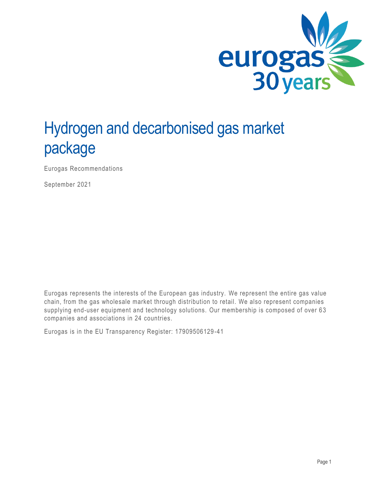

# Hydrogen and decarbonised gas market package

Eurogas Recommendations

September 2021

Eurogas represents the interests of the European gas industry. We represent the entire gas value chain, from the gas wholesale market through distribution to retail. We also represent companies supplying end-user equipment and technology solutions. Our membership is composed of over 63 companies and associations in 24 countries.

Eurogas is in the EU Transparency Register: 17909506129 -41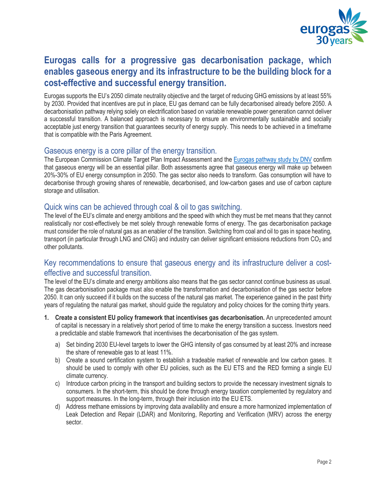

# **Eurogas calls for a progressive gas decarbonisation package, which enables gaseous energy and its infrastructure to be the building block for a cost-effective and successful energy transition.**

Eurogas supports the EU's 2050 climate neutrality objective and the target of reducing GHG emissions by at least 55% by 2030. Provided that incentives are put in place, EU gas demand can be fully decarbonised already before 2050. A decarbonisation pathway relying solely on electrification based on variable renewable power generation cannot deliver a successful transition. A balanced approach is necessary to ensure an environmentally sustainable and socially acceptable just energy transition that guarantees security of energy supply. This needs to be achieved in a timeframe that is compatible with the Paris Agreement.

#### Gaseous energy is a core pillar of the energy transition.

The European Commission Climate Target Plan Impact Assessment and the [Eurogas pathway study by DNV](https://eurogas.org/website/wp-content/uploads/2020/06/DNV-GL-Eurogas-Report-Reaching-European-Carbon-Neutrality-Full-Report.pdf) confirm that gaseous energy will be an essential pillar. Both assessments agree that gaseous energy will make up between 20%-30% of EU energy consumption in 2050. The gas sector also needs to transform. Gas consumption will have to decarbonise through growing shares of renewable, decarbonised, and low-carbon gases and use of carbon capture storage and utilisation.

#### Quick wins can be achieved through coal & oil to gas switching.

The level of the EU's climate and energy ambitions and the speed with which they must be met means that they cannot realistically nor cost-effectively be met solely through renewable forms of energy. The gas decarbonisation package must consider the role of natural gas as an enabler of the transition. Switching from coal and oil to gas in space heating, transport (in particular through LNG and CNG) and industry can deliver significant emissions reductions from CO<sub>2</sub> and other pollutants.

#### Key recommendations to ensure that gaseous energy and its infrastructure deliver a costeffective and successful transition.

The level of the EU's climate and energy ambitions also means that the gas sector cannot continue business as usual. The gas decarbonisation package must also enable the transformation and decarbonisation of the gas sector before 2050. It can only succeed if it builds on the success of the natural gas market. The experience gained in the past thirty years of regulating the natural gas market, should guide the regulatory and policy choices for the coming thirty years.

- **1. Create a consistent EU policy framework that incentivises gas decarbonisation.** An unprecedented amount of capital is necessary in a relatively short period of time to make the energy transition a success. Investors need a predictable and stable framework that incentivises the decarbonisation of the gas system.
	- a) Set binding 2030 EU-level targets to lower the GHG intensity of gas consumed by at least 20% and increase the share of renewable gas to at least 11%.
	- b) Create a sound certification system to establish a tradeable market of renewable and low carbon gases. It should be used to comply with other EU policies, such as the EU ETS and the RED forming a single EU climate currency.
	- c) Introduce carbon pricing in the transport and building sectors to provide the necessary investment signals to consumers. In the short-term, this should be done through energy taxation complemented by regulatory and support measures. In the long-term, through their inclusion into the EU ETS.
	- d) Address methane emissions by improving data availability and ensure a more harmonized implementation of Leak Detection and Repair (LDAR) and Monitoring, Reporting and Verification (MRV) across the energy sector.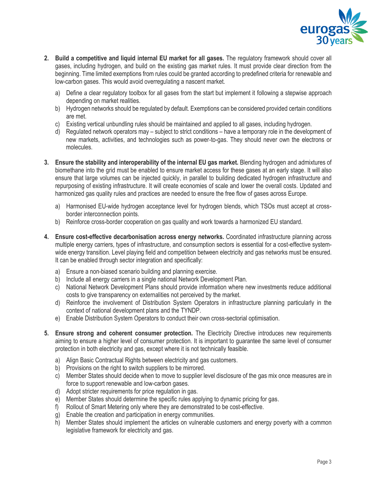

- **2. Build a competitive and liquid internal EU market for all gases.** The regulatory framework should cover all gases, including hydrogen, and build on the existing gas market rules. It must provide clear direction from the beginning. Time limited exemptions from rules could be granted according to predefined criteria for renewable and low-carbon gases. This would avoid overregulating a nascent market.
	- a) Define a clear regulatory toolbox for all gases from the start but implement it following a stepwise approach depending on market realities.
	- b) Hydrogen networks should be regulated by default. Exemptions can be considered provided certain conditions are met.
	- c) Existing vertical unbundling rules should be maintained and applied to all gases, including hydrogen.
	- d) Regulated network operators may subject to strict conditions have a temporary role in the development of new markets, activities, and technologies such as power-to-gas. They should never own the electrons or molecules.
- **3. Ensure the stability and interoperability of the internal EU gas market.** Blending hydrogen and admixtures of biomethane into the grid must be enabled to ensure market access for these gases at an early stage. It will also ensure that large volumes can be injected quickly, in parallel to building dedicated hydrogen infrastructure and repurposing of existing infrastructure. It will create economies of scale and lower the overall costs. Updated and harmonized gas quality rules and practices are needed to ensure the free flow of gases across Europe.
	- a) Harmonised EU-wide hydrogen acceptance level for hydrogen blends, which TSOs must accept at crossborder interconnection points.
	- b) Reinforce cross-border cooperation on gas quality and work towards a harmonized EU standard.
- **4. Ensure cost-effective decarbonisation across energy networks.** Coordinated infrastructure planning across multiple energy carriers, types of infrastructure, and consumption sectors is essential for a cost-effective systemwide energy transition. Level playing field and competition between electricity and gas networks must be ensured. It can be enabled through sector integration and specifically:
	- a) Ensure a non-biased scenario building and planning exercise.
	- b) Include all energy carriers in a single national Network Development Plan.
	- c) National Network Development Plans should provide information where new investments reduce additional costs to give transparency on externalities not perceived by the market.
	- d) Reinforce the involvement of Distribution System Operators in infrastructure planning particularly in the context of national development plans and the TYNDP.
	- e) Enable Distribution System Operators to conduct their own cross-sectorial optimisation.
- **5. Ensure strong and coherent consumer protection.** The Electricity Directive introduces new requirements aiming to ensure a higher level of consumer protection. It is important to guarantee the same level of consumer protection in both electricity and gas, except where it is not technically feasible.
	- a) Align Basic Contractual Rights between electricity and gas customers.
	- b) Provisions on the right to switch suppliers to be mirrored.
	- c) Member States should decide when to move to supplier level disclosure of the gas mix once measures are in force to support renewable and low-carbon gases.
	- d) Adopt stricter requirements for price regulation in gas.
	- e) Member States should determine the specific rules applying to dynamic pricing for gas.
	- f) Rollout of Smart Metering only where they are demonstrated to be cost-effective.
	- g) Enable the creation and participation in energy communities.
	- h) Member States should implement the articles on vulnerable customers and energy poverty with a common legislative framework for electricity and gas.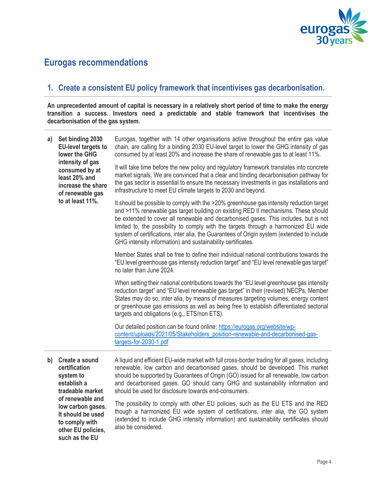

# **Eurogas recommendations**

### **1. Create a consistent EU policy framework that incentivises gas decarbonisation.**

**An unprecedented amount of capital is necessary in a relatively short period of time to make the energy transition a success. Investors need a predictable and stable framework that incentivises the decarbonisation of the gas system.**

| a) | Set binding 2030<br><b>EU-level targets to</b><br>lower the GHG<br>intensity of gas<br>consumed by at<br>least 20% and<br>increase the share<br>of renewable gas<br>to at least 11%. | Eurogas, together with 14 other organisations active throughout the entire gas value<br>chain, are calling for a binding 2030 EU-level target to lower the GHG intensity of gas<br>consumed by at least 20% and increase the share of renewable gas to at least 11%.                                                                                                                                                                                                                                                      |
|----|--------------------------------------------------------------------------------------------------------------------------------------------------------------------------------------|---------------------------------------------------------------------------------------------------------------------------------------------------------------------------------------------------------------------------------------------------------------------------------------------------------------------------------------------------------------------------------------------------------------------------------------------------------------------------------------------------------------------------|
|    |                                                                                                                                                                                      | It will take time before the new policy and regulatory framework translates into concrete<br>market signals. We are convinced that a clear and binding decarbonisation pathway for<br>the gas sector is essential to ensure the necessary investments in gas installations and<br>infrastructure to meet EU climate targets to 2030 and beyond.                                                                                                                                                                           |
|    |                                                                                                                                                                                      | It should be possible to comply with the >20% greenhouse gas intensity reduction target<br>and >11% renewable gas target building on existing RED II mechanisms. These should<br>be extended to cover all renewable and decarbonised gases. This includes, but is not<br>limited to, the possibility to comply with the targets through a harmonized EU wide<br>system of certifications, inter alia, the Guarantees of Origin system (extended to include<br>GHG intensity information) and sustainability certificates. |
|    |                                                                                                                                                                                      | Member States shall be free to define their individual national contributions towards the<br>"EU level greenhouse gas intensity reduction target" and "EU level renewable gas target"<br>no later than June 2024.                                                                                                                                                                                                                                                                                                         |
|    |                                                                                                                                                                                      | When setting their national contributions towards the "EU level greenhouse gas intensity<br>reduction target" and "EU level renewable gas target" in their (revised) NECPs, Member<br>States may do so, inter alia, by means of measures targeting volumes, energy content<br>or greenhouse gas emissions as well as being free to establish differentiated sectorial<br>targets and obligations (e.g., ETS/non ETS).                                                                                                     |
|    |                                                                                                                                                                                      | Our detailed position can be found online: https://eurogas.org/website/wp-<br>content/uploads/2021/05/Stakeholders_position-renewable-and-decarbonised-gas-<br>targets-for-2030-1.pdf                                                                                                                                                                                                                                                                                                                                     |
|    | b) Create a sound<br>certification<br>system to                                                                                                                                      | A liquid and efficient EU-wide market with full cross-border trading for all gases, including<br>renewable, low carbon and decarbonised gases, should be developed. This market<br>should be supported by Guarantees of Origin $(GO)$ issued for all renewable low carbon                                                                                                                                                                                                                                                 |

**system to establish a tradeable market of renewable and low carbon gases. It should be used to comply with other EU policies, such as the EU** 

should be supported by Guarantees of Origin (GO) issued for all renewable, low carbon and decarbonised gases. GO should carry GHG and sustainability information and should be used for disclosure towards end-consumers.

The possibility to comply with other EU policies, such as the EU ETS and the RED though a harmonized EU wide system of certifications, inter alia, the GO system (extended to include GHG intensity information) and sustainability certificates should also be considered.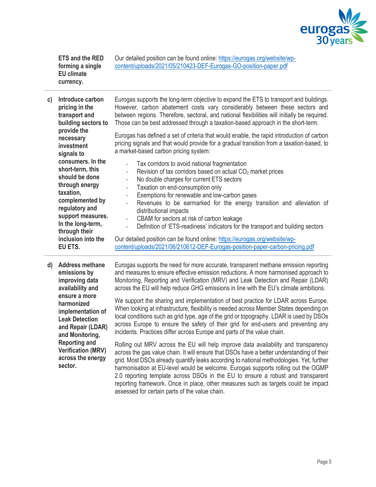

**ETS and the RED forming a single EU climate currency.**

Our detailed position can be found online: [https://eurogas.org/website/wp](https://eurogas.org/website/wp-content/uploads/2021/05/210423-DEF-Eurogas-GO-position-paper.pdf)[content/uploads/2021/05/210423-DEF-Eurogas-GO-position-paper.pdf](https://eurogas.org/website/wp-content/uploads/2021/05/210423-DEF-Eurogas-GO-position-paper.pdf)

| C) | Introduce carbon<br>pricing in the<br>transport and<br>building sectors to<br>provide the<br>necessary<br>investment<br>signals to<br>consumers. In the<br>short-term, this<br>should be done<br>through energy<br>taxation,<br>complemented by<br>regulatory and<br>support measures.<br>In the long-term,<br>through their<br>inclusion into the<br>EU ETS. | Eurogas supports the long-term objective to expand the ETS to transport and buildings.<br>However, carbon abatement costs vary considerably between these sectors and<br>between regions. Therefore, sectoral, and national flexibilities will initially be required.<br>Those can be best addressed through a taxation-based approach in the short-term.<br>Eurogas has defined a set of criteria that would enable, the rapid introduction of carbon<br>pricing signals and that would provide for a gradual transition from a taxation-based, to<br>a market-based carbon pricing system:                                                                                                                                                                                                                                                                                                                                                                                                                                                                                                                                                                                                                                                                                                                                                                                                        |
|----|---------------------------------------------------------------------------------------------------------------------------------------------------------------------------------------------------------------------------------------------------------------------------------------------------------------------------------------------------------------|-----------------------------------------------------------------------------------------------------------------------------------------------------------------------------------------------------------------------------------------------------------------------------------------------------------------------------------------------------------------------------------------------------------------------------------------------------------------------------------------------------------------------------------------------------------------------------------------------------------------------------------------------------------------------------------------------------------------------------------------------------------------------------------------------------------------------------------------------------------------------------------------------------------------------------------------------------------------------------------------------------------------------------------------------------------------------------------------------------------------------------------------------------------------------------------------------------------------------------------------------------------------------------------------------------------------------------------------------------------------------------------------------------|
|    |                                                                                                                                                                                                                                                                                                                                                               | Tax corridors to avoid national fragmentation<br>Revision of tax corridors based on actual CO <sub>2</sub> market prices<br>$\qquad \qquad \Box$<br>No double charges for current ETS sectors<br>$\overline{\phantom{a}}$<br>Taxation on end-consumption only<br>$\overline{\phantom{a}}$<br>Exemptions for renewable and low-carbon gases<br>$\overline{\phantom{a}}$<br>Revenues to be earmarked for the energy transition and alleviation of<br>$\overline{\phantom{a}}$<br>distributional impacts<br>CBAM for sectors at risk of carbon leakage<br>$\overline{\phantom{a}}$<br>Definition of 'ETS-readiness' indicators for the transport and building sectors<br>$\frac{1}{2}$<br>Our detailed position can be found online: https://eurogas.org/website/wp-<br>content/uploads/2021/06/210612-DEF-Eurogas-position-paper-carbon-pricing.pdf                                                                                                                                                                                                                                                                                                                                                                                                                                                                                                                                                   |
| d) | <b>Address methane</b><br>emissions by<br>improving data<br>availability and<br>ensure a more<br>harmonized<br>implementation of<br><b>Leak Detection</b><br>and Repair (LDAR)<br>and Monitoring,<br><b>Reporting and</b><br><b>Verification (MRV)</b><br>across the energy<br>sector.                                                                        | Eurogas supports the need for more accurate, transparent methane emission reporting<br>and measures to ensure effective emission reductions. A more harmonised approach to<br>Monitoring, Reporting and Verification (MRV) and Leak Detection and Repair (LDAR)<br>across the EU will help reduce GHG emissions in line with the EU's climate ambitions.<br>We support the sharing and implementation of best practice for LDAR across Europe.<br>When looking at infrastructure, flexibility is needed across Member States depending on<br>local conditions such as grid type, age of the grid or topography. LDAR is used by DSOs<br>across Europe to ensure the safety of their grid for end-users and preventing any<br>incidents. Practices differ across Europe and parts of the value chain.<br>Rolling out MRV across the EU will help improve data availability and transparency<br>across the gas value chain. It will ensure that DSOs have a better understanding of their<br>grid. Most DSOs already quantify leaks according to national methodologies. Yet, further<br>harmonisation at EU-level would be welcome. Eurogas supports rolling out the OGMP<br>2.0 reporting template across DSOs in the EU to ensure a robust and transparent<br>reporting framework. Once in place, other measures such as targets could be impact<br>assessed for certain parts of the value chain. |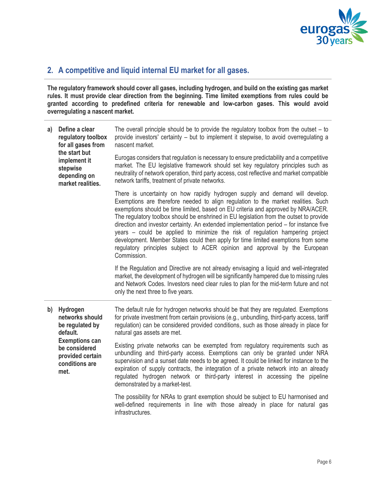

## **2. A competitive and liquid internal EU market for all gases.**

infrastructures.

**The regulatory framework should cover all gases, including hydrogen, and build on the existing gas market rules. It must provide clear direction from the beginning. Time limited exemptions from rules could be granted according to predefined criteria for renewable and low-carbon gases. This would avoid overregulating a nascent market.**

| a) | Define a clear<br>regulatory toolbox<br>for all gases from<br>the start but<br>implement it<br>stepwise<br>depending on<br>market realities.       | The overall principle should be to provide the regulatory toolbox from the outset $-$ to<br>provide investors' certainty - but to implement it stepwise, to avoid overregulating a<br>nascent market.                                                                                                                                                                                                                                                                                                                                                                                                                                                                                                           |
|----|----------------------------------------------------------------------------------------------------------------------------------------------------|-----------------------------------------------------------------------------------------------------------------------------------------------------------------------------------------------------------------------------------------------------------------------------------------------------------------------------------------------------------------------------------------------------------------------------------------------------------------------------------------------------------------------------------------------------------------------------------------------------------------------------------------------------------------------------------------------------------------|
|    |                                                                                                                                                    | Eurogas considers that regulation is necessary to ensure predictability and a competitive<br>market. The EU legislative framework should set key regulatory principles such as<br>neutrality of network operation, third party access, cost reflective and market compatible<br>network tariffs, treatment of private networks.                                                                                                                                                                                                                                                                                                                                                                                 |
|    |                                                                                                                                                    | There is uncertainty on how rapidly hydrogen supply and demand will develop.<br>Exemptions are therefore needed to align regulation to the market realities. Such<br>exemptions should be time limited, based on EU criteria and approved by NRA/ACER.<br>The regulatory toolbox should be enshrined in EU legislation from the outset to provide<br>direction and investor certainty. An extended implementation period - for instance five<br>years – could be applied to minimize the risk of regulation hampering project<br>development. Member States could then apply for time limited exemptions from some<br>regulatory principles subject to ACER opinion and approval by the European<br>Commission. |
|    |                                                                                                                                                    | If the Regulation and Directive are not already envisaging a liquid and well-integrated<br>market, the development of hydrogen will be significantly hampered due to missing rules<br>and Network Codes. Investors need clear rules to plan for the mid-term future and not<br>only the next three to five years.                                                                                                                                                                                                                                                                                                                                                                                               |
| b) | Hydrogen<br>networks should<br>be regulated by<br>default.<br><b>Exemptions can</b><br>be considered<br>provided certain<br>conditions are<br>met. | The default rule for hydrogen networks should be that they are regulated. Exemptions<br>for private investment from certain provisions (e.g., unbundling, third-party access, tariff<br>regulation) can be considered provided conditions, such as those already in place for<br>natural gas assets are met.                                                                                                                                                                                                                                                                                                                                                                                                    |
|    |                                                                                                                                                    | Existing private networks can be exempted from regulatory requirements such as<br>unbundling and third-party access. Exemptions can only be granted under NRA<br>supervision and a sunset date needs to be agreed. It could be linked for instance to the<br>expiration of supply contracts, the integration of a private network into an already<br>regulated hydrogen network or third-party interest in accessing the pipeline<br>demonstrated by a market-test.                                                                                                                                                                                                                                             |
|    |                                                                                                                                                    | The possibility for NRAs to grant exemption should be subject to EU harmonised and<br>well-defined requirements in line with those already in place for natural gas                                                                                                                                                                                                                                                                                                                                                                                                                                                                                                                                             |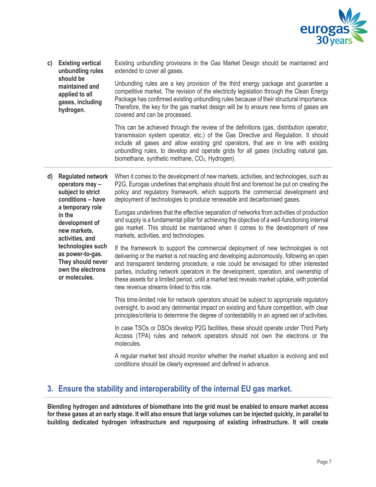

**c) Existing vertical unbundling rules should be maintained and applied to all gases, including hydrogen.** Existing unbundling provisions in the Gas Market Design should be maintained and extended to cover all gases. Unbundling rules are a key provision of the third energy package and guarantee a competitive market. The revision of the electricity legislation through the Clean Energy Package has confirmed existing unbundling rules because of their structural importance. Therefore, the key for the gas market design will be to ensure new forms of gases are covered and can be processed.

This can be achieved through the review of the definitions (gas, distribution operator, transmission system operator, etc.) of the Gas Directive and Regulation. It should include all gases and allow existing grid operators, that are in line with existing unbundling rules, to develop and operate grids for all gases (including natural gas, biomethane, synthetic methane,  $CO<sub>2</sub>$ , Hydrogen).

**d) Regulated network operators may – subject to strict conditions – have a temporary role in the development of new markets, activities, and technologies such as power-to-gas. They should never own the electrons or molecules.** When it comes to the development of new markets, activities, and technologies, such as P2G, Eurogas underlines that emphasis should first and foremost be put on creating the policy and regulatory framework, which supports the commercial development and deployment of technologies to produce renewable and decarbonised gases. Eurogas underlines that the effective separation of networks from activities of production and supply is a fundamental pillar for achieving the objective of a well-functioning internal gas market. This should be maintained when it comes to the development of new markets, activities, and technologies. If the framework to support the commercial deployment of new technologies is not delivering or the market is not reacting and developing autonomously, following an open and transparent tendering procedure, a role could be envisaged for other interested parties, including network operators in the development, operation, and ownership of these assets for a limited period, until a market test reveals market uptake, with potential new revenue streams linked to this role. This time-limited role for network operators should be subject to appropriate regulatory oversight, to avoid any detrimental impact on existing and future competition, with clear principles/criteria to determine the degree of contestability in an agreed set of activities.

> In case TSOs or DSOs develop P2G facilities, these should operate under Third Party Access (TPA) rules and network operators should not own the electrons or the molecules.

> A regular market test should monitor whether the market situation is evolving and exit conditions should be clearly expressed and defined in advance.

## **3. Ensure the stability and interoperability of the internal EU gas market.**

**Blending hydrogen and admixtures of biomethane into the grid must be enabled to ensure market access for these gases at an early stage. It will also ensure that large volumes can be injected quickly, in parallel to building dedicated hydrogen infrastructure and repurposing of existing infrastructure. It will create**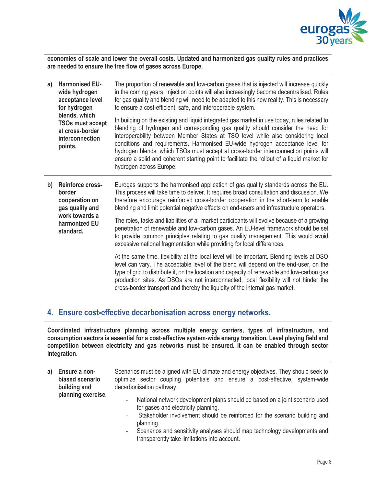

**economies of scale and lower the overall costs. Updated and harmonized gas quality rules and practices are needed to ensure the free flow of gases across Europe.**

- **a) Harmonised EUwide hydrogen acceptance level for hydrogen blends, which TSOs must accept at cross-border interconnection points.** The proportion of renewable and low-carbon gases that is injected will increase quickly in the coming years. Injection points will also increasingly become decentralised. Rules for gas quality and blending will need to be adapted to this new reality. This is necessary to ensure a cost-efficient, safe, and interoperable system. In building on the existing and liquid integrated gas market in use today, rules related to blending of hydrogen and corresponding gas quality should consider the need for interoperability between Member States at TSO level while also considering local conditions and requirements. Harmonised EU-wide hydrogen acceptance level for hydrogen blends, which TSOs must accept at cross-border interconnection points will ensure a solid and coherent starting point to facilitate the rollout of a liquid market for hydrogen across Europe.
- **b) Reinforce crossborder cooperation on gas quality and work towards a harmonized EU standard.** Eurogas supports the harmonised application of gas quality standards across the EU. This process will take time to deliver. It requires broad consultation and discussion. We therefore encourage reinforced cross-border cooperation in the short-term to enable blending and limit potential negative effects on end-users and infrastructure operators. The roles, tasks and liabilities of all market participants will evolve because of a growing penetration of renewable and low-carbon gases. An EU-level framework should be set to provide common principles relating to gas quality management. This would avoid excessive national fragmentation while providing for local differences. At the same time, flexibility at the local level will be important. Blending levels at DSO

level can vary. The acceptable level of the blend will depend on the end-user, on the type of grid to distribute it, on the location and capacity of renewable and low-carbon gas production sites. As DSOs are not interconnected, local flexibility will not hinder the cross-border transport and thereby the liquidity of the internal gas market.

#### **4. Ensure cost-effective decarbonisation across energy networks.**

**Coordinated infrastructure planning across multiple energy carriers, types of infrastructure, and consumption sectors is essential for a cost-effective system-wide energy transition. Level playing field and competition between electricity and gas networks must be ensured. It can be enabled through sector integration.** 

- **a) Ensure a nonbiased scenario building and planning exercise.** Scenarios must be aligned with EU climate and energy objectives. They should seek to optimize sector coupling potentials and ensure a cost-effective, system-wide decarbonisation pathway.
	- National network development plans should be based on a joint scenario used for gases and electricity planning.
	- Stakeholder involvement should be reinforced for the scenario building and planning.
	- Scenarios and sensitivity analyses should map technology developments and transparently take limitations into account.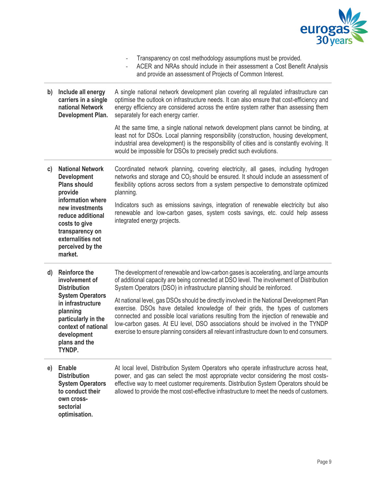

|    |                                                                                                                                                                                                                                      | Transparency on cost methodology assumptions must be provided.<br>ACER and NRAs should include in their assessment a Cost Benefit Analysis<br>$\qquad \qquad -$<br>and provide an assessment of Projects of Common Interest.                                                                                                                                                                                                                      |
|----|--------------------------------------------------------------------------------------------------------------------------------------------------------------------------------------------------------------------------------------|---------------------------------------------------------------------------------------------------------------------------------------------------------------------------------------------------------------------------------------------------------------------------------------------------------------------------------------------------------------------------------------------------------------------------------------------------|
| b) | Include all energy<br>carriers in a single<br>national Network<br>Development Plan.                                                                                                                                                  | A single national network development plan covering all regulated infrastructure can<br>optimise the outlook on infrastructure needs. It can also ensure that cost-efficiency and<br>energy efficiency are considered across the entire system rather than assessing them<br>separately for each energy carrier.                                                                                                                                  |
|    |                                                                                                                                                                                                                                      | At the same time, a single national network development plans cannot be binding, at<br>least not for DSOs. Local planning responsibility (construction, housing development,<br>industrial area development) is the responsibility of cities and is constantly evolving. It<br>would be impossible for DSOs to precisely predict such evolutions.                                                                                                 |
| c) | <b>National Network</b><br><b>Development</b><br><b>Plans should</b><br>provide<br>information where<br>new investments<br>reduce additional<br>costs to give<br>transparency on<br>externalities not<br>perceived by the<br>market. | Coordinated network planning, covering electricity, all gases, including hydrogen<br>networks and storage and CO <sub>2</sub> should be ensured. It should include an assessment of<br>flexibility options across sectors from a system perspective to demonstrate optimized<br>planning.                                                                                                                                                         |
|    |                                                                                                                                                                                                                                      | Indicators such as emissions savings, integration of renewable electricity but also<br>renewable and low-carbon gases, system costs savings, etc. could help assess<br>integrated energy projects.                                                                                                                                                                                                                                                |
| d) | <b>Reinforce the</b><br>involvement of<br><b>Distribution</b><br><b>System Operators</b><br>in infrastructure<br>planning<br>particularly in the<br>context of national<br>development<br>plans and the<br>TYNDP.                    | The development of renewable and low-carbon gases is accelerating, and large amounts<br>of additional capacity are being connected at DSO level. The involvement of Distribution<br>System Operators (DSO) in infrastructure planning should be reinforced.                                                                                                                                                                                       |
|    |                                                                                                                                                                                                                                      | At national level, gas DSOs should be directly involved in the National Development Plan<br>exercise. DSOs have detailed knowledge of their grids, the types of customers<br>connected and possible local variations resulting from the injection of renewable and<br>low-carbon gases. At EU level, DSO associations should be involved in the TYNDP<br>exercise to ensure planning considers all relevant infrastructure down to end consumers. |
| e) | <b>Enable</b><br><b>Distribution</b><br><b>System Operators</b><br>to conduct their<br>own cross-<br>sectorial<br>optimisation.                                                                                                      | At local level, Distribution System Operators who operate infrastructure across heat,<br>power, and gas can select the most appropriate vector considering the most costs-<br>effective way to meet customer requirements. Distribution System Operators should be<br>allowed to provide the most cost-effective infrastructure to meet the needs of customers.                                                                                   |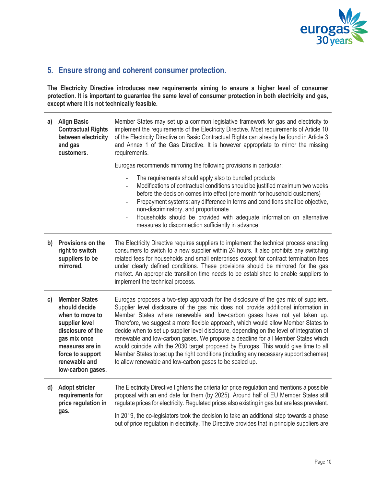

# **5. Ensure strong and coherent consumer protection.**

**The Electricity Directive introduces new requirements aiming to ensure a higher level of consumer protection. It is important to guarantee the same level of consumer protection in both electricity and gas, except where it is not technically feasible.**

| a)           | <b>Align Basic</b><br><b>Contractual Rights</b><br>between electricity<br>and gas<br>customers.                                                                                              | Member States may set up a common legislative framework for gas and electricity to<br>implement the requirements of the Electricity Directive. Most requirements of Article 10<br>of the Electricity Directive on Basic Contractual Rights can already be found in Article 3<br>and Annex 1 of the Gas Directive. It is however appropriate to mirror the missing<br>requirements.                                                                                                                                                                                                                                                                                                                                                                                             |
|--------------|----------------------------------------------------------------------------------------------------------------------------------------------------------------------------------------------|--------------------------------------------------------------------------------------------------------------------------------------------------------------------------------------------------------------------------------------------------------------------------------------------------------------------------------------------------------------------------------------------------------------------------------------------------------------------------------------------------------------------------------------------------------------------------------------------------------------------------------------------------------------------------------------------------------------------------------------------------------------------------------|
|              |                                                                                                                                                                                              | Eurogas recommends mirroring the following provisions in particular:                                                                                                                                                                                                                                                                                                                                                                                                                                                                                                                                                                                                                                                                                                           |
|              |                                                                                                                                                                                              | The requirements should apply also to bundled products<br>$\overline{\phantom{0}}$<br>Modifications of contractual conditions should be justified maximum two weeks<br>$\overline{\phantom{0}}$<br>before the decision comes into effect (one month for household customers)<br>Prepayment systems: any difference in terms and conditions shall be objective,<br>$\overline{\phantom{0}}$<br>non-discriminatory, and proportionate<br>Households should be provided with adequate information on alternative<br>$\qquad \qquad -$<br>measures to disconnection sufficiently in advance                                                                                                                                                                                        |
| b)           | Provisions on the<br>right to switch<br>suppliers to be<br>mirrored.                                                                                                                         | The Electricity Directive requires suppliers to implement the technical process enabling<br>consumers to switch to a new supplier within 24 hours. It also prohibits any switching<br>related fees for households and small enterprises except for contract termination fees<br>under clearly defined conditions. These provisions should be mirrored for the gas<br>market. An appropriate transition time needs to be established to enable suppliers to<br>implement the technical process.                                                                                                                                                                                                                                                                                 |
| $\mathsf{c}$ | <b>Member States</b><br>should decide<br>when to move to<br>supplier level<br>disclosure of the<br>gas mix once<br>measures are in<br>force to support<br>renewable and<br>low-carbon gases. | Eurogas proposes a two-step approach for the disclosure of the gas mix of suppliers.<br>Supplier level disclosure of the gas mix does not provide additional information in<br>Member States where renewable and low-carbon gases have not yet taken up.<br>Therefore, we suggest a more flexible approach, which would allow Member States to<br>decide when to set up supplier level disclosure, depending on the level of integration of<br>renewable and low-carbon gases. We propose a deadline for all Member States which<br>would coincide with the 2030 target proposed by Eurogas. This would give time to all<br>Member States to set up the right conditions (including any necessary support schemes)<br>to allow renewable and low-carbon gases to be scaled up. |
| $\mathsf{d}$ | <b>Adopt stricter</b><br>requirements for<br>price regulation in<br>gas.                                                                                                                     | The Electricity Directive tightens the criteria for price regulation and mentions a possible<br>proposal with an end date for them (by 2025). Around half of EU Member States still<br>regulate prices for electricity. Regulated prices also existing in gas but are less prevalent.                                                                                                                                                                                                                                                                                                                                                                                                                                                                                          |
|              |                                                                                                                                                                                              | In 2019, the co-legislators took the decision to take an additional step towards a phase<br>out of price regulation in electricity. The Directive provides that in principle suppliers are                                                                                                                                                                                                                                                                                                                                                                                                                                                                                                                                                                                     |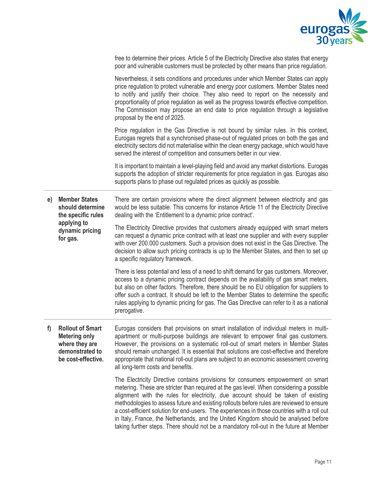

|    |                                                                                                              | free to determine their prices. Article 5 of the Electricity Directive also states that energy<br>poor and vulnerable customers must be protected by other means than price regulation.                                                                                                                                                                                                                                                                                                                                                             |
|----|--------------------------------------------------------------------------------------------------------------|-----------------------------------------------------------------------------------------------------------------------------------------------------------------------------------------------------------------------------------------------------------------------------------------------------------------------------------------------------------------------------------------------------------------------------------------------------------------------------------------------------------------------------------------------------|
|    |                                                                                                              | Nevertheless, it sets conditions and procedures under which Member States can apply<br>price regulation to protect vulnerable and energy poor customers. Member States need<br>to notify and justify their choice. They also need to report on the necessity and<br>proportionality of price regulation as well as the progress towards effective competition.<br>The Commission may propose an end date to price regulation through a legislative<br>proposal by the end of 2025.                                                                  |
|    |                                                                                                              | Price regulation in the Gas Directive is not bound by similar rules. In this context,<br>Eurogas regrets that a synchronised phase-out of regulated prices on both the gas and<br>electricity sectors did not materialise within the clean energy package, which would have<br>served the interest of competition and consumers better in our view.                                                                                                                                                                                                 |
|    |                                                                                                              | It is important to maintain a level-playing field and avoid any market distortions. Eurogas<br>supports the adoption of stricter requirements for price regulation in gas. Eurogas also<br>supports plans to phase out regulated prices as quickly as possible.                                                                                                                                                                                                                                                                                     |
| e) | <b>Member States</b><br>should determine<br>the specific rules<br>applying to<br>dynamic pricing<br>for gas. | There are certain provisions where the direct alignment between electricity and gas<br>would be less suitable. This concerns for instance Article 11 of the Electricity Directive<br>dealing with the 'Entitlement to a dynamic price contract'.                                                                                                                                                                                                                                                                                                    |
|    |                                                                                                              | The Electricity Directive provides that customers already equipped with smart meters<br>can request a dynamic price contract with at least one supplier and with every supplier<br>with over 200.000 customers. Such a provision does not exist in the Gas Directive. The<br>decision to allow such pricing contracts is up to the Member States, and then to set up<br>a specific regulatory framework.                                                                                                                                            |
|    |                                                                                                              | There is less potential and less of a need to shift demand for gas customers. Moreover,<br>access to a dynamic pricing contract depends on the availability of gas smart meters,<br>but also on other factors. Therefore, there should be no EU obligation for suppliers to<br>offer such a contract. It should be left to the Member States to determine the specific<br>rules applying to dynamic pricing for gas. The Gas Directive can refer to it as a national<br>prerogative.                                                                |
| T) | <b>Rollout of Smart</b><br><b>Metering only</b><br>where they are<br>demonstrated to<br>be cost-effective.   | Eurogas considers that provisions on smart installation of individual meters in multi-<br>apartment or multi-purpose buildings are relevant to empower final gas customers.<br>However, the provisions on a systematic roll-out of smart meters in Member States<br>should remain unchanged. It is essential that solutions are cost-effective and therefore<br>appropriate that national roll-out plans are subject to an economic assessment covering<br>all long-term costs and benefits.                                                        |
|    |                                                                                                              | The Electricity Directive contains provisions for consumers empowerment on smart<br>metering. These are stricter than required at the gas level. When considering a possible<br>alignment with the rules for electricity, due account should be taken of existing<br>methodologies to assess future and existing rollouts before rules are reviewed to ensure<br>a cost-efficient solution for end-users. The experiences in those countries with a roll out<br>in Italy, France, the Netherlands, and the United Kingdom should be analysed before |

taking further steps. There should not be a mandatory roll-out in the future at Member